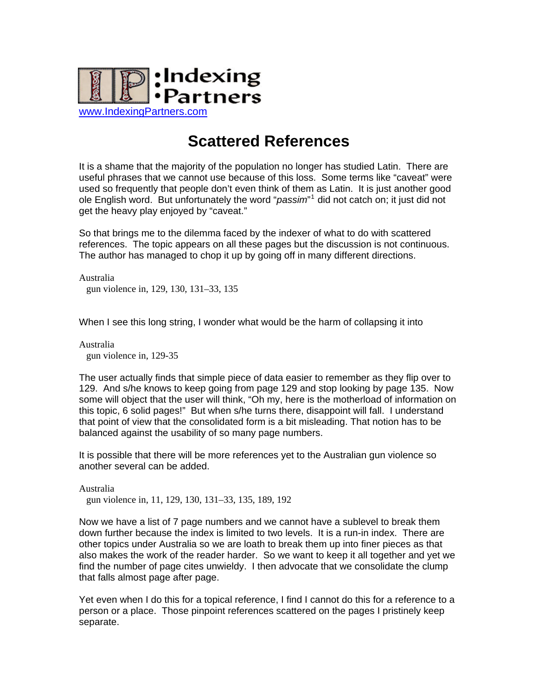

## **Scattered References**

It is a shame that the majority of the population no longer has studied Latin. There are useful phrases that we cannot use because of this loss. Some terms like "caveat" were used so frequently that people don't even think of them as Latin. It is just another good ole English word. But unfortunately the word "*passim*" [1](#page-1-0) did not catch on; it just did not get the heavy play enjoyed by "caveat."

So that brings me to the dilemma faced by the indexer of what to do with scattered references. The topic appears on all these pages but the discussion is not continuous. The author has managed to chop it up by going off in many different directions.

Australia gun violence in, 129, 130, 131–33, 135

When I see this long string, I wonder what would be the harm of collapsing it into

Australia gun violence in, 129-35

The user actually finds that simple piece of data easier to remember as they flip over to 129. And s/he knows to keep going from page 129 and stop looking by page 135. Now some will object that the user will think, "Oh my, here is the motherload of information on this topic, 6 solid pages!" But when s/he turns there, disappoint will fall. I understand that point of view that the consolidated form is a bit misleading. That notion has to be balanced against the usability of so many page numbers.

It is possible that there will be more references yet to the Australian gun violence so another several can be added.

Australia

gun violence in, 11, 129, 130, 131–33, 135, 189, 192

Now we have a list of 7 page numbers and we cannot have a sublevel to break them down further because the index is limited to two levels. It is a run-in index. There are other topics under Australia so we are loath to break them up into finer pieces as that also makes the work of the reader harder. So we want to keep it all together and yet we find the number of page cites unwieldy. I then advocate that we consolidate the clump that falls almost page after page.

Yet even when I do this for a topical reference, I find I cannot do this for a reference to a person or a place. Those pinpoint references scattered on the pages I pristinely keep separate.